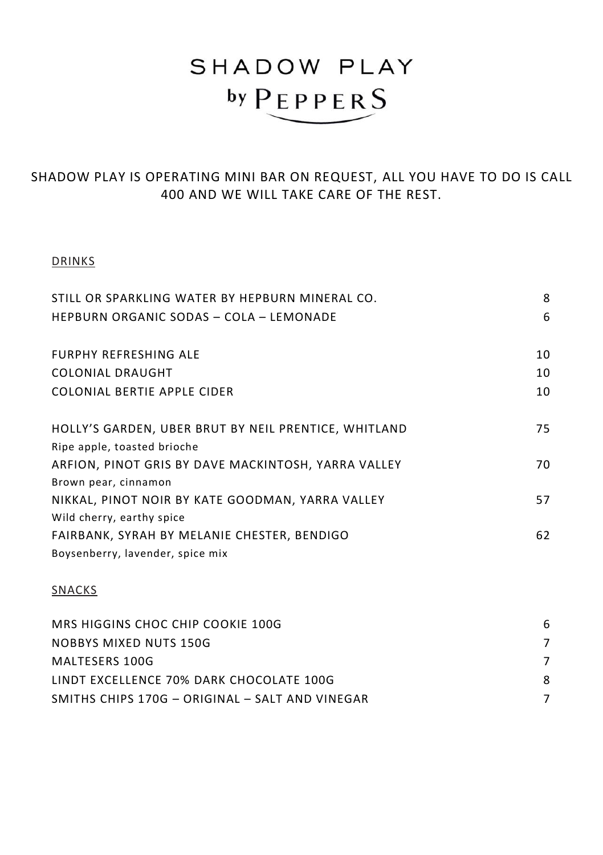## SHADOW PLAY **by PEPPERS**

SHADOW PLAY IS OPERATING MINI BAR ON REQUEST, ALL YOU HAVE TO DO IS CALL 400 AND WE WILL TAKE CARE OF THE REST.

## DRINKS

| STILL OR SPARKLING WATER BY HEPBURN MINERAL CO.      | 8  |
|------------------------------------------------------|----|
| <b>HEPBURN ORGANIC SODAS - COLA - LEMONADE</b>       | 6  |
| <b>FURPHY REFRESHING ALE</b>                         | 10 |
| <b>COLONIAL DRAUGHT</b>                              | 10 |
| COLONIAL BERTIE APPLE CIDER                          | 10 |
| HOLLY'S GARDEN, UBER BRUT BY NEIL PRENTICE, WHITLAND | 75 |
| Ripe apple, toasted brioche                          |    |
| ARFION, PINOT GRIS BY DAVE MACKINTOSH, YARRA VALLEY  | 70 |
| Brown pear, cinnamon                                 |    |
| NIKKAL, PINOT NOIR BY KATE GOODMAN, YARRA VALLEY     | 57 |
| Wild cherry, earthy spice                            |    |
| FAIRBANK, SYRAH BY MELANIE CHESTER, BENDIGO          | 62 |
| Boysenberry, lavender, spice mix                     |    |
| <b>SNACKS</b>                                        |    |

## MRS HIGGINS CHOC CHIP COOKIE 100G 6 NOBBYS MIXED NUTS 150G 7 MALTESERS 100G 7 LINDT EXCELLENCE 70% DARK CHOCOLATE 100G 8 SMITHS CHIPS 170G – ORIGINAL – SALT AND VINEGAR 7